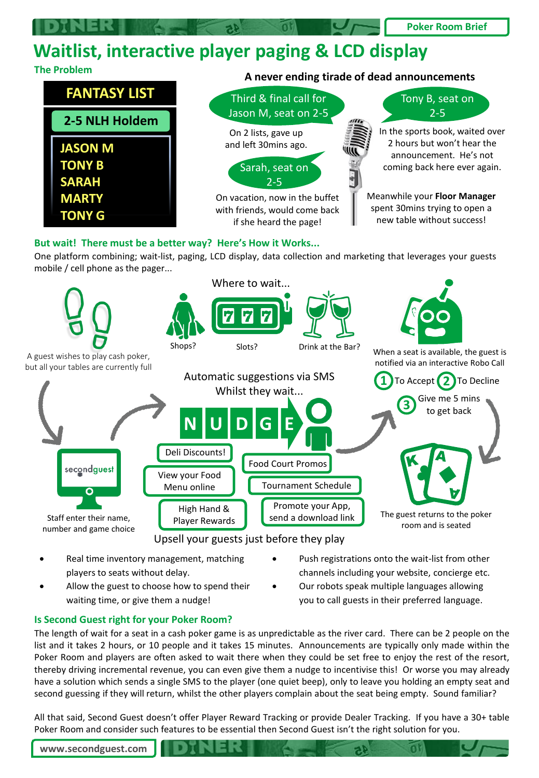## **Poker Room Brief**

## **Waitlist, interactive player paging & LCD display**

## **The Problem A never ending tirade of dead announcements**



One platform combining; wait-list, paging, LCD display, data collection and marketing that leverages your guests mobile / cell phone as the pager...



- Real time inventory management, matching players to seats without delay.
- Allow the guest to choose how to spend their waiting time, or give them a nudge!
- Push registrations onto the wait-list from other channels including your website, concierge etc.
- Our robots speak multiple languages allowing you to call guests in their preferred language.

#### **Is Second Guest right for your Poker Room?**

The length of wait for a seat in a cash poker game is as unpredictable as the river card. There can be 2 people on the list and it takes 2 hours, or 10 people and it takes 15 minutes. Announcements are typically only made within the Poker Room and players are often asked to wait there when they could be set free to enjoy the rest of the resort, thereby driving incremental revenue, you can even give them a nudge to incentivise this! Or worse you may already have a solution which sends a single SMS to the player (one quiet beep), only to leave you holding an empty seat and second guessing if they will return, whilst the other players complain about the seat being empty. Sound familiar?

All that said, Second Guest doesn't offer Player Reward Tracking or provide Dealer Tracking. If you have a 30+ table Poker Room and consider such features to be essential then Second Guest isn't the right solution for you.